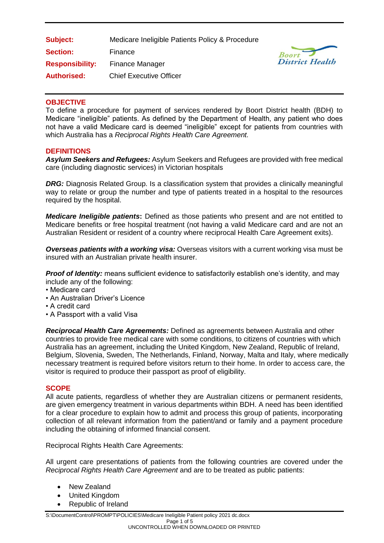| Subject:               | Medicare Ineligible Patients Policy & Procedure |
|------------------------|-------------------------------------------------|
| <b>Section:</b>        | Finance                                         |
| <b>Responsibility:</b> | <b>Finance Manager</b>                          |
| <b>Authorised:</b>     | <b>Chief Executive Officer</b>                  |



## **OBJECTIVE**

To define a procedure for payment of services rendered by Boort District health (BDH) to Medicare "ineligible" patients. As defined by the Department of Health, any patient who does not have a valid Medicare card is deemed "ineligible" except for patients from countries with which Australia has a *Reciprocal Rights Health Care Agreement.*

#### **DEFINITIONS**

*Asylum Seekers and Refugees:* Asylum Seekers and Refugees are provided with free medical care (including diagnostic services) in Victorian hospitals

*DRG:* Diagnosis Related Group. Is a classification system that provides a clinically meaningful way to relate or group the number and type of patients treated in a hospital to the resources required by the hospital.

*Medicare Ineligible patients***:** Defined as those patients who present and are not entitled to Medicare benefits or free hospital treatment (not having a valid Medicare card and are not an Australian Resident or resident of a country where reciprocal Health Care Agreement exits).

*Overseas patients with a working visa:* Overseas visitors with a current working visa must be insured with an Australian private health insurer.

**Proof of Identity:** means sufficient evidence to satisfactorily establish one's identity, and may include any of the following:

- Medicare card
- An Australian Driver's Licence
- A credit card
- A Passport with a valid Visa

*Reciprocal Health Care Agreements:* Defined as agreements between Australia and other countries to provide free medical care with some conditions, to citizens of countries with which Australia has an agreement, including the United Kingdom, New Zealand, Republic of Ireland, Belgium, Slovenia, Sweden, The Netherlands, Finland, Norway, Malta and Italy, where medically necessary treatment is required before visitors return to their home. In order to access care, the visitor is required to produce their passport as proof of eligibility.

#### **SCOPE**

All acute patients, regardless of whether they are Australian citizens or permanent residents, are given emergency treatment in various departments within BDH. A need has been identified for a clear procedure to explain how to admit and process this group of patients, incorporating collection of all relevant information from the patient/and or family and a payment procedure including the obtaining of informed financial consent.

Reciprocal Rights Health Care Agreements:

All urgent care presentations of patients from the following countries are covered under the *Reciprocal Rights Health Care Agreement* and are to be treated as public patients:

- New Zealand
- United Kingdom
- Republic of Ireland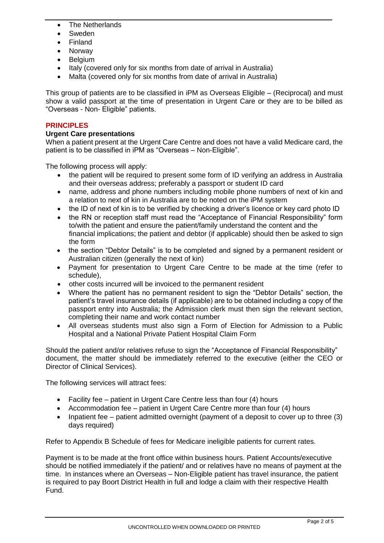- The Netherlands
- Sweden
- Finland
- Norway
- Belgium
- Italy (covered only for six months from date of arrival in Australia)
- Malta (covered only for six months from date of arrival in Australia)

This group of patients are to be classified in iPM as Overseas Eligible – (Reciprocal) and must show a valid passport at the time of presentation in Urgent Care or they are to be billed as "Overseas - Non- Eligible" patients.

## **PRINCIPLES**

## **Urgent Care presentations**

When a patient present at the Urgent Care Centre and does not have a valid Medicare card, the patient is to be classified in iPM as "Overseas – Non-Eligible".

The following process will apply:

- the patient will be required to present some form of ID verifying an address in Australia and their overseas address; preferably a passport or student ID card
- name, address and phone numbers including mobile phone numbers of next of kin and a relation to next of kin in Australia are to be noted on the iPM system
- the ID of next of kin is to be verified by checking a driver's licence or key card photo ID
- the RN or reception staff must read the "Acceptance of Financial Responsibility" form to/with the patient and ensure the patient/family understand the content and the financial implications; the patient and debtor (if applicable) should then be asked to sign the form
- the section "Debtor Details" is to be completed and signed by a permanent resident or Australian citizen (generally the next of kin)
- Payment for presentation to Urgent Care Centre to be made at the time (refer to schedule),
- other costs incurred will be invoiced to the permanent resident
- Where the patient has no permanent resident to sign the "Debtor Details" section, the patient's travel insurance details (if applicable) are to be obtained including a copy of the passport entry into Australia; the Admission clerk must then sign the relevant section, completing their name and work contact number
- All overseas students must also sign a Form of Election for Admission to a Public Hospital and a National Private Patient Hospital Claim Form

Should the patient and/or relatives refuse to sign the "Acceptance of Financial Responsibility" document, the matter should be immediately referred to the executive (either the CEO or Director of Clinical Services).

The following services will attract fees:

- Facility fee patient in Urgent Care Centre less than four (4) hours
- Accommodation fee patient in Urgent Care Centre more than four (4) hours
- Inpatient fee patient admitted overnight (payment of a deposit to cover up to three  $(3)$ ) days required)

Refer to Appendix B Schedule of fees for Medicare ineligible patients for current rates.

Payment is to be made at the front office within business hours. Patient Accounts/executive should be notified immediately if the patient/ and or relatives have no means of payment at the time. In instances where an Overseas – Non-Eligible patient has travel insurance, the patient is required to pay Boort District Health in full and lodge a claim with their respective Health Fund.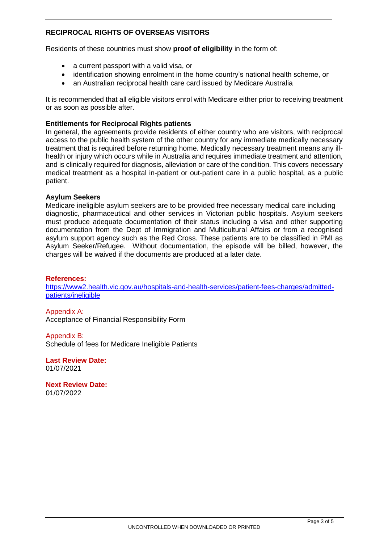## **RECIPROCAL RIGHTS OF OVERSEAS VISITORS**

Residents of these countries must show **proof of eligibility** in the form of:

- a current passport with a valid visa, or
- identification showing enrolment in the home country's national health scheme, or
- an Australian reciprocal health care card issued by Medicare Australia

It is recommended that all eligible visitors enrol with Medicare either prior to receiving treatment or as soon as possible after.

#### **Entitlements for Reciprocal Rights patients**

In general, the agreements provide residents of either country who are visitors, with reciprocal access to the public health system of the other country for any immediate medically necessary treatment that is required before returning home. Medically necessary treatment means any illhealth or injury which occurs while in Australia and requires immediate treatment and attention, and is clinically required for diagnosis, alleviation or care of the condition. This covers necessary medical treatment as a hospital in-patient or out-patient care in a public hospital, as a public patient.

#### **Asylum Seekers**

Medicare ineligible asylum seekers are to be provided free necessary medical care including diagnostic, pharmaceutical and other services in Victorian public hospitals. Asylum seekers must produce adequate documentation of their status including a visa and other supporting documentation from the Dept of Immigration and Multicultural Affairs or from a recognised asylum support agency such as the Red Cross. These patients are to be classified in PMI as Asylum Seeker/Refugee. Without documentation, the episode will be billed, however, the charges will be waived if the documents are produced at a later date.

#### **References:**

[https://www2.health.vic.gov.au/hospitals-and-health-services/patient-fees-charges/admitted](https://www2.health.vic.gov.au/hospitals-and-health-services/patient-fees-charges/admitted-patients/ineligible)[patients/ineligible](https://www2.health.vic.gov.au/hospitals-and-health-services/patient-fees-charges/admitted-patients/ineligible)

Appendix A: Acceptance of Financial Responsibility Form

Appendix B: Schedule of fees for Medicare Ineligible Patients

**Last Review Date:** 01/07/2021

**Next Review Date:**  01/07/2022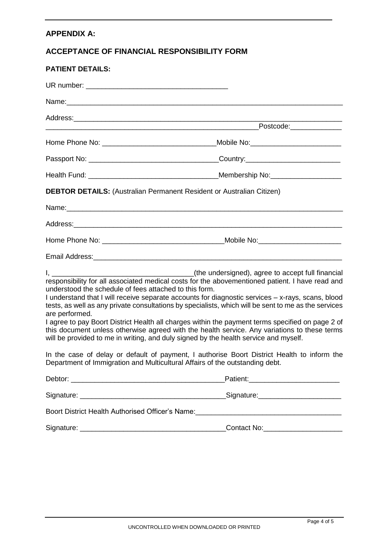## **APPENDIX A:**

## **ACCEPTANCE OF FINANCIAL RESPONSIBILITY FORM**

| <b>PATIENT DETAILS:</b>                                                                                                                                                                                                       |                                                                                                                                                                                                                                                                                                                                                                                                                                                                                                                                                                                                          |
|-------------------------------------------------------------------------------------------------------------------------------------------------------------------------------------------------------------------------------|----------------------------------------------------------------------------------------------------------------------------------------------------------------------------------------------------------------------------------------------------------------------------------------------------------------------------------------------------------------------------------------------------------------------------------------------------------------------------------------------------------------------------------------------------------------------------------------------------------|
|                                                                                                                                                                                                                               |                                                                                                                                                                                                                                                                                                                                                                                                                                                                                                                                                                                                          |
| Name: Name: Name: Name: Name: Name: Name: Name: Name: Name: Name: Name: Name: Name: Name: Name: Name: Name: Name: Name: Name: Name: Name: Name: Name: Name: Name: Name: Name: Name: Name: Name: Name: Name: Name: Name: Name: |                                                                                                                                                                                                                                                                                                                                                                                                                                                                                                                                                                                                          |
|                                                                                                                                                                                                                               |                                                                                                                                                                                                                                                                                                                                                                                                                                                                                                                                                                                                          |
|                                                                                                                                                                                                                               |                                                                                                                                                                                                                                                                                                                                                                                                                                                                                                                                                                                                          |
|                                                                                                                                                                                                                               |                                                                                                                                                                                                                                                                                                                                                                                                                                                                                                                                                                                                          |
|                                                                                                                                                                                                                               |                                                                                                                                                                                                                                                                                                                                                                                                                                                                                                                                                                                                          |
|                                                                                                                                                                                                                               |                                                                                                                                                                                                                                                                                                                                                                                                                                                                                                                                                                                                          |
|                                                                                                                                                                                                                               | <b>DEBTOR DETAILS:</b> (Australian Permanent Resident or Australian Citizen)                                                                                                                                                                                                                                                                                                                                                                                                                                                                                                                             |
|                                                                                                                                                                                                                               |                                                                                                                                                                                                                                                                                                                                                                                                                                                                                                                                                                                                          |
|                                                                                                                                                                                                                               |                                                                                                                                                                                                                                                                                                                                                                                                                                                                                                                                                                                                          |
|                                                                                                                                                                                                                               |                                                                                                                                                                                                                                                                                                                                                                                                                                                                                                                                                                                                          |
|                                                                                                                                                                                                                               |                                                                                                                                                                                                                                                                                                                                                                                                                                                                                                                                                                                                          |
| understood the schedule of fees attached to this form.<br>are performed.                                                                                                                                                      | responsibility for all associated medical costs for the abovementioned patient. I have read and<br>I understand that I will receive separate accounts for diagnostic services - x-rays, scans, blood<br>tests, as well as any private consultations by specialists, which will be sent to me as the services<br>I agree to pay Boort District Health all charges within the payment terms specified on page 2 of<br>this document unless otherwise agreed with the health service. Any variations to these terms<br>will be provided to me in writing, and duly signed by the health service and myself. |
|                                                                                                                                                                                                                               | In the case of delay or default of payment, I authorise Boort District Health to inform the<br>Department of Immigration and Multicultural Affairs of the outstanding debt.                                                                                                                                                                                                                                                                                                                                                                                                                              |
|                                                                                                                                                                                                                               |                                                                                                                                                                                                                                                                                                                                                                                                                                                                                                                                                                                                          |
|                                                                                                                                                                                                                               |                                                                                                                                                                                                                                                                                                                                                                                                                                                                                                                                                                                                          |
|                                                                                                                                                                                                                               |                                                                                                                                                                                                                                                                                                                                                                                                                                                                                                                                                                                                          |
|                                                                                                                                                                                                                               | Contact No: Contact No:                                                                                                                                                                                                                                                                                                                                                                                                                                                                                                                                                                                  |
|                                                                                                                                                                                                                               |                                                                                                                                                                                                                                                                                                                                                                                                                                                                                                                                                                                                          |